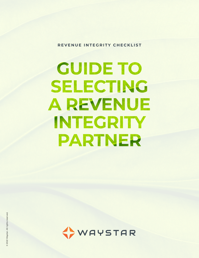**REVENUE INTEGRITY CHECKLIST**

# **GUIDE TO** SELECTING **A REVENUE** INTEGRITY PARTNER

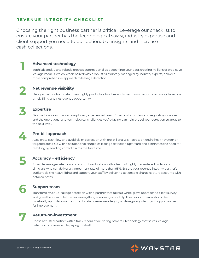#### **REVENUE INTEGRITY CHECKLIST**

Choosing the right business partner is critical. Leverage our checklist to ensure your partner has the technological savvy, industry expertise and client support you need to pull actionable insights and increase cash collections.



#### **Advanced technology**

Sophisticated AI and robotic process automation digs deeper into your data, creating millions of predictive leakage models, which, when paired with a robust rules library managed by industry experts, deliver a more comprehensive approach to leakage detection.



#### **Net revenue visibility**

Using actual contract data drives highly productive touches and smart prioritization of accounts based on timely filing and net revenue opportunity.



#### **Expertise**

Be sure to work with an accomplished, experienced team. Experts who understand regulatory nuances and the operational and technological challenges you're facing can help propel your detection strategy to the next level.



#### **Pre-bill approach**

Accelerate cash flow and avoid claim correction with pre-bill analysis—across an entire health system or targeted areas. Go with a solution that simplifies leakage detection upstream and eliminates the need for re-billing by sending correct claims the first time.

**5**

#### **Accuracy + efficiency**

Expedite leakage detection and account verification with a team of highly credentialed coders and clinicians who can deliver an agreement rate of more than 95%. Ensure your revenue integrity partner's auditors do the heavy lifting and support your staff by delivering actionable charge capture accounts with detailed notes.



#### **Support team**

Transform revenue leakage detection with a partner that takes a white-glove approach to client survey and goes the extra mile to ensure everything is running smoothly. Their support team should be constantly up to date on the current state of revenue integrity while regularly identifying opportunities for improvement.



#### **Return-on-investment**

Chose a trusted partner with a track record of delivering powerful technology that solves leakage detection problems while paying for itself.